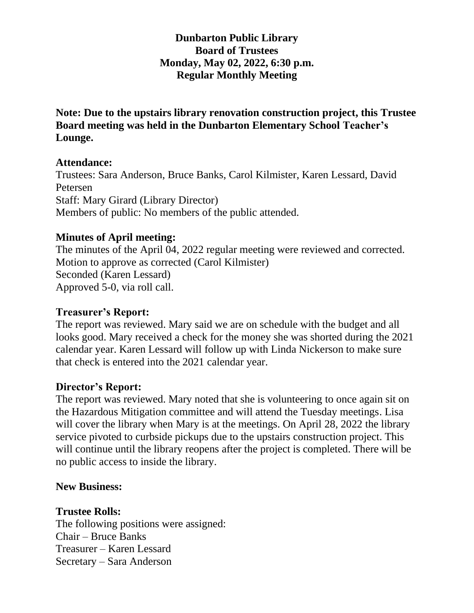## **Dunbarton Public Library Board of Trustees Monday, May 02, 2022, 6:30 p.m. Regular Monthly Meeting**

**Note: Due to the upstairs library renovation construction project, this Trustee Board meeting was held in the Dunbarton Elementary School Teacher's Lounge.**

#### **Attendance:**

Trustees: Sara Anderson, Bruce Banks, Carol Kilmister, Karen Lessard, David Petersen Staff: Mary Girard (Library Director) Members of public: No members of the public attended.

### **Minutes of April meeting:**

The minutes of the April 04, 2022 regular meeting were reviewed and corrected. Motion to approve as corrected (Carol Kilmister) Seconded (Karen Lessard) Approved 5-0, via roll call.

#### **Treasurer's Report:**

The report was reviewed. Mary said we are on schedule with the budget and all looks good. Mary received a check for the money she was shorted during the 2021 calendar year. Karen Lessard will follow up with Linda Nickerson to make sure that check is entered into the 2021 calendar year.

#### **Director's Report:**

The report was reviewed. Mary noted that she is volunteering to once again sit on the Hazardous Mitigation committee and will attend the Tuesday meetings. Lisa will cover the library when Mary is at the meetings. On April 28, 2022 the library service pivoted to curbside pickups due to the upstairs construction project. This will continue until the library reopens after the project is completed. There will be no public access to inside the library.

#### **New Business:**

#### **Trustee Rolls:**

The following positions were assigned: Chair – Bruce Banks Treasurer – Karen Lessard Secretary – Sara Anderson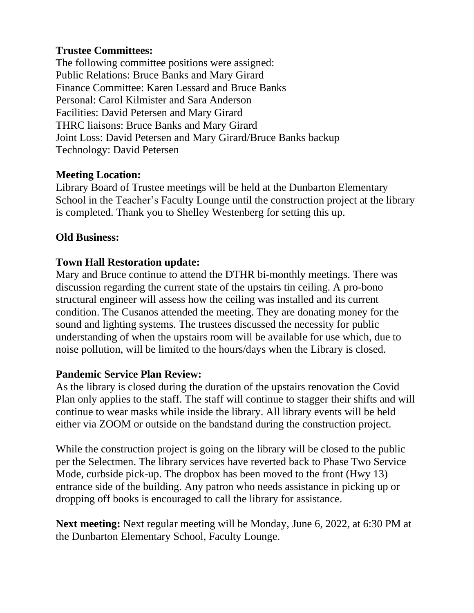## **Trustee Committees:**

The following committee positions were assigned: Public Relations: Bruce Banks and Mary Girard Finance Committee: Karen Lessard and Bruce Banks Personal: Carol Kilmister and Sara Anderson Facilities: David Petersen and Mary Girard THRC liaisons: Bruce Banks and Mary Girard Joint Loss: David Petersen and Mary Girard/Bruce Banks backup Technology: David Petersen

### **Meeting Location:**

Library Board of Trustee meetings will be held at the Dunbarton Elementary School in the Teacher's Faculty Lounge until the construction project at the library is completed. Thank you to Shelley Westenberg for setting this up.

# **Old Business:**

## **Town Hall Restoration update:**

Mary and Bruce continue to attend the DTHR bi-monthly meetings. There was discussion regarding the current state of the upstairs tin ceiling. A pro-bono structural engineer will assess how the ceiling was installed and its current condition. The Cusanos attended the meeting. They are donating money for the sound and lighting systems. The trustees discussed the necessity for public understanding of when the upstairs room will be available for use which, due to noise pollution, will be limited to the hours/days when the Library is closed.

## **Pandemic Service Plan Review:**

As the library is closed during the duration of the upstairs renovation the Covid Plan only applies to the staff. The staff will continue to stagger their shifts and will continue to wear masks while inside the library. All library events will be held either via ZOOM or outside on the bandstand during the construction project.

While the construction project is going on the library will be closed to the public per the Selectmen. The library services have reverted back to Phase Two Service Mode, curbside pick-up. The dropbox has been moved to the front (Hwy 13) entrance side of the building. Any patron who needs assistance in picking up or dropping off books is encouraged to call the library for assistance.

**Next meeting:** Next regular meeting will be Monday, June 6, 2022, at 6:30 PM at the Dunbarton Elementary School, Faculty Lounge.